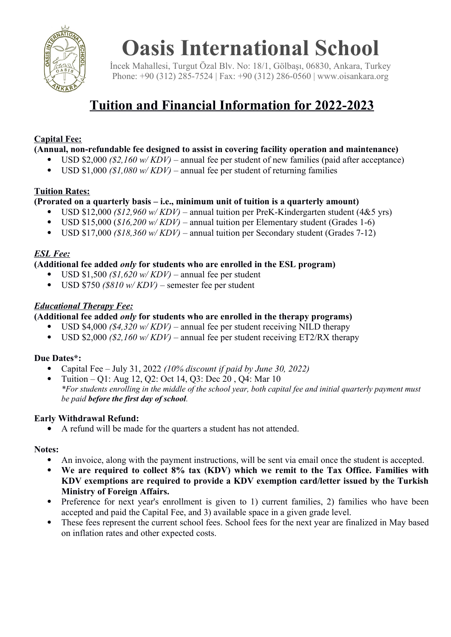

# **Oasis International School**

İncek Mahallesi, Turgut Özal Blv. No: 18/1, Gölbaşı, 06830, Ankara, Turkey Phone: +90 (312) 285-7524 | Fax: +90 (312) 286-0560 | www.oisankara.org

## **Tuition and Financial Information for 2022-2023**

#### **Capital Fee:**

**(Annual, non-refundable fee designed to assist in covering facility operation and maintenance)**

- USD \$2,000 *(\$2,160 w/ KDV)* annual fee per student of new families (paid after acceptance)
- USD \$1,000 *(\$1,080 w/KDV)* annual fee per student of returning families

#### **Tuition Rates:**

#### **(Prorated on a quarterly basis – i.e., minimum unit of tuition is a quarterly amount)**

- USD \$12,000 *(\$12,960 w/ KDV)* annual tuition per PreK-Kindergarten student (4&5 yrs)
- USD \$15,000 (*\$16,200 w/ KDV)*  annual tuition per Elementary student (Grades 1-6)
- USD \$17,000 *(\$18,360 w/ KDV)*  annual tuition per Secondary student (Grades 7-12)

#### *ESL Fee:*

#### **(Additional fee added** *only* **for students who are enrolled in the ESL program)**

- USD \$1,500 *(\$1,620 w/ KDV)*  annual fee per student
- USD \$750 *(\$810 w/ KDV)*  semester fee per student

#### *Educational Therapy Fee:*

#### **(Additional fee added** *only* **for students who are enrolled in the therapy programs)**

- USD \$4,000 *(\$4,320 w/ KDV)* annual fee per student receiving NILD therapy
- USD  $\frac{1}{2}$ ,000 *(\$2,160 w/KDV)* annual fee per student receiving ET2/RX therapy

#### **Due Dates\*:**

- Capital Fee July 31, 2022 *(10% discount if paid by June 30, 2022)*
- Tuition Q1: Aug 12, Q2: Oct 14, Q3: Dec 20 , Q4: Mar 10 *\*For students enrolling in the middle of the school year, both capital fee and initial quarterly payment must be paid before the first day of school.*

#### **Early Withdrawal Refund:**

A refund will be made for the quarters a student has not attended.

#### **Notes:**

- An invoice, along with the payment instructions, will be sent via email once the student is accepted.
- **We are required to collect 8% tax (KDV) which we remit to the Tax Office. Families with KDV exemptions are required to provide a KDV exemption card/letter issued by the Turkish Ministry of Foreign Affairs.**
- Preference for next year's enrollment is given to 1) current families, 2) families who have been accepted and paid the Capital Fee, and 3) available space in a given grade level.
- These fees represent the current school fees. School fees for the next year are finalized in May based on inflation rates and other expected costs.